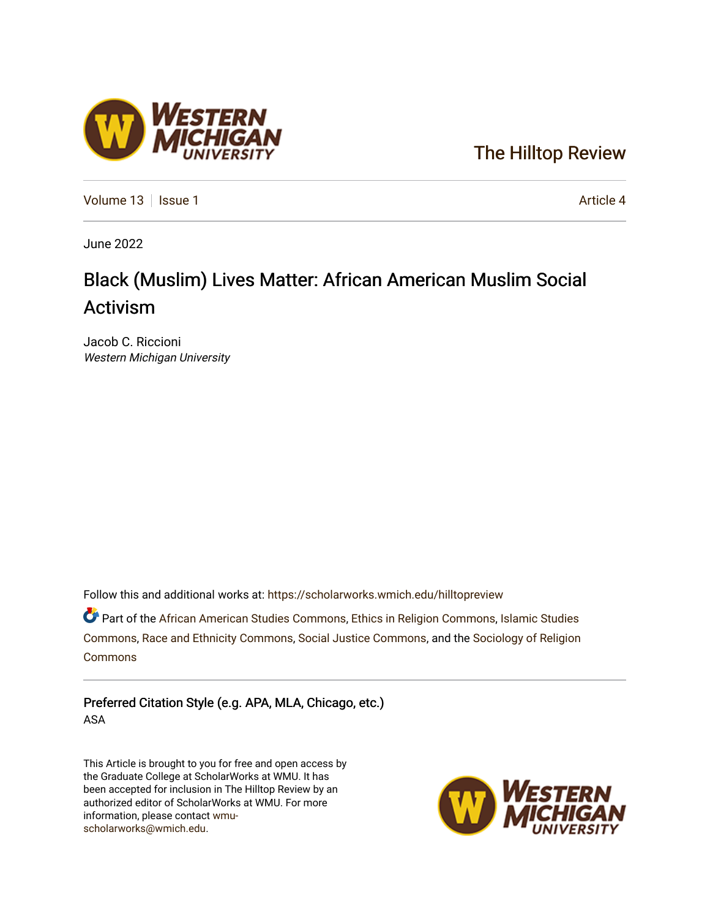### [The Hilltop Review](https://scholarworks.wmich.edu/hilltopreview)

[Volume 13](https://scholarworks.wmich.edu/hilltopreview/vol13) | [Issue 1](https://scholarworks.wmich.edu/hilltopreview/vol13/iss1) Article 4

June 2022

## Black (Muslim) Lives Matter: African American Muslim Social Activism

Jacob C. Riccioni Western Michigan University

Follow this and additional works at: [https://scholarworks.wmich.edu/hilltopreview](https://scholarworks.wmich.edu/hilltopreview?utm_source=scholarworks.wmich.edu%2Fhilltopreview%2Fvol13%2Fiss1%2F4&utm_medium=PDF&utm_campaign=PDFCoverPages)

**C** Part of the [African American Studies Commons,](https://network.bepress.com/hgg/discipline/567?utm_source=scholarworks.wmich.edu%2Fhilltopreview%2Fvol13%2Fiss1%2F4&utm_medium=PDF&utm_campaign=PDFCoverPages) [Ethics in Religion Commons](https://network.bepress.com/hgg/discipline/541?utm_source=scholarworks.wmich.edu%2Fhilltopreview%2Fvol13%2Fiss1%2F4&utm_medium=PDF&utm_campaign=PDFCoverPages), Islamic Studies [Commons](https://network.bepress.com/hgg/discipline/1346?utm_source=scholarworks.wmich.edu%2Fhilltopreview%2Fvol13%2Fiss1%2F4&utm_medium=PDF&utm_campaign=PDFCoverPages), [Race and Ethnicity Commons,](https://network.bepress.com/hgg/discipline/426?utm_source=scholarworks.wmich.edu%2Fhilltopreview%2Fvol13%2Fiss1%2F4&utm_medium=PDF&utm_campaign=PDFCoverPages) [Social Justice Commons,](https://network.bepress.com/hgg/discipline/1432?utm_source=scholarworks.wmich.edu%2Fhilltopreview%2Fvol13%2Fiss1%2F4&utm_medium=PDF&utm_campaign=PDFCoverPages) and the [Sociology of Religion](https://network.bepress.com/hgg/discipline/1365?utm_source=scholarworks.wmich.edu%2Fhilltopreview%2Fvol13%2Fiss1%2F4&utm_medium=PDF&utm_campaign=PDFCoverPages) [Commons](https://network.bepress.com/hgg/discipline/1365?utm_source=scholarworks.wmich.edu%2Fhilltopreview%2Fvol13%2Fiss1%2F4&utm_medium=PDF&utm_campaign=PDFCoverPages)

Preferred Citation Style (e.g. APA, MLA, Chicago, etc.) ASA

This Article is brought to you for free and open access by the Graduate College at ScholarWorks at WMU. It has been accepted for inclusion in The Hilltop Review by an authorized editor of ScholarWorks at WMU. For more information, please contact [wmu](mailto:wmu-scholarworks@wmich.edu)[scholarworks@wmich.edu.](mailto:wmu-scholarworks@wmich.edu)



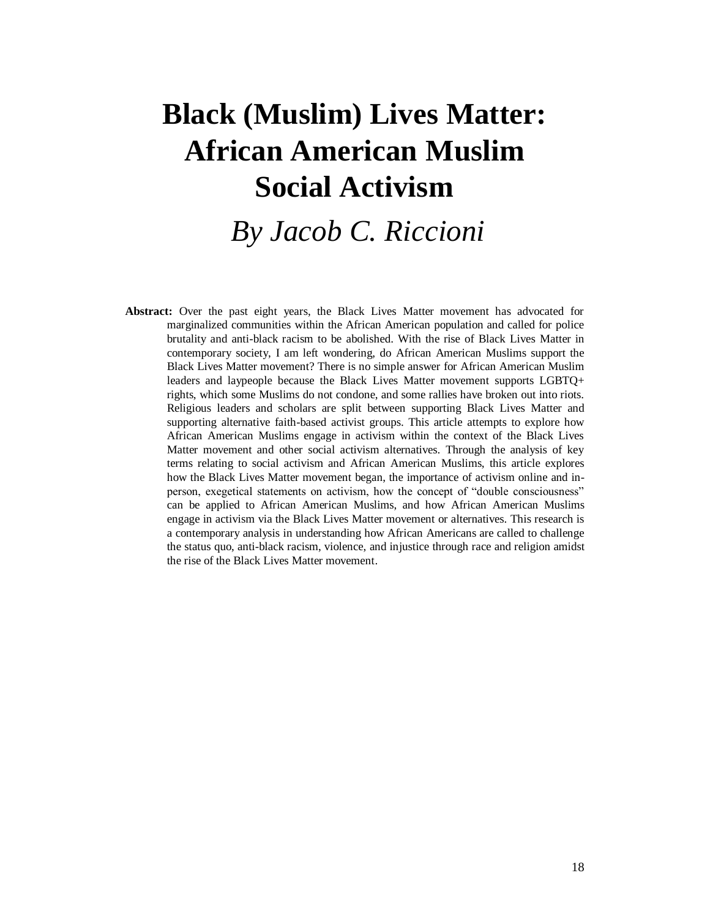# **Black (Muslim) Lives Matter: African American Muslim Social Activism**

## *By Jacob C. Riccioni*

**Abstract:** Over the past eight years, the Black Lives Matter movement has advocated for marginalized communities within the African American population and called for police brutality and anti-black racism to be abolished. With the rise of Black Lives Matter in contemporary society, I am left wondering, do African American Muslims support the Black Lives Matter movement? There is no simple answer for African American Muslim leaders and laypeople because the Black Lives Matter movement supports LGBTQ+ rights, which some Muslims do not condone, and some rallies have broken out into riots. Religious leaders and scholars are split between supporting Black Lives Matter and supporting alternative faith-based activist groups. This article attempts to explore how African American Muslims engage in activism within the context of the Black Lives Matter movement and other social activism alternatives. Through the analysis of key terms relating to social activism and African American Muslims, this article explores how the Black Lives Matter movement began, the importance of activism online and inperson, exegetical statements on activism, how the concept of "double consciousness" can be applied to African American Muslims, and how African American Muslims engage in activism via the Black Lives Matter movement or alternatives. This research is a contemporary analysis in understanding how African Americans are called to challenge the status quo, anti-black racism, violence, and injustice through race and religion amidst the rise of the Black Lives Matter movement.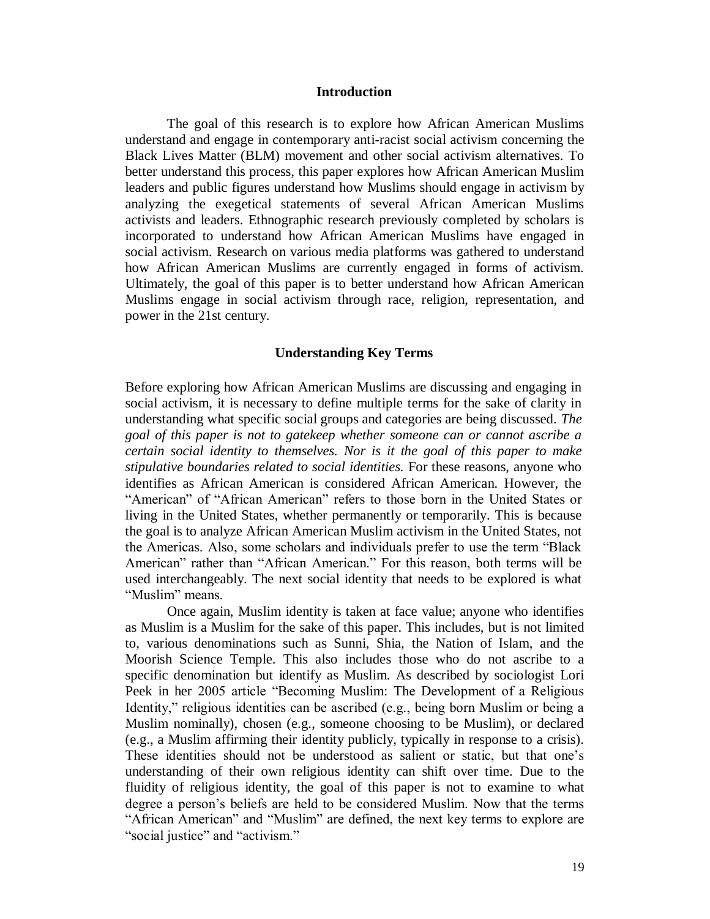#### **Introduction**

The goal of this research is to explore how African American Muslims understand and engage in contemporary anti-racist social activism concerning the Black Lives Matter (BLM) movement and other social activism alternatives. To better understand this process, this paper explores how African American Muslim leaders and public figures understand how Muslims should engage in activism by analyzing the exegetical statements of several African American Muslims activists and leaders. Ethnographic research previously completed by scholars is incorporated to understand how African American Muslims have engaged in social activism. Research on various media platforms was gathered to understand how African American Muslims are currently engaged in forms of activism. Ultimately, the goal of this paper is to better understand how African American Muslims engage in social activism through race, religion, representation, and power in the 21st century.

#### **Understanding Key Terms**

Before exploring how African American Muslims are discussing and engaging in social activism, it is necessary to define multiple terms for the sake of clarity in understanding what specific social groups and categories are being discussed. *The goal of this paper is not to gatekeep whether someone can or cannot ascribe a certain social identity to themselves. Nor is it the goal of this paper to make stipulative boundaries related to social identities.* For these reasons, anyone who identifies as African American is considered African American. However, the "American" of "African American" refers to those born in the United States or living in the United States, whether permanently or temporarily. This is because the goal is to analyze African American Muslim activism in the United States, not the Americas. Also, some scholars and individuals prefer to use the term "Black American" rather than "African American." For this reason, both terms will be used interchangeably. The next social identity that needs to be explored is what "Muslim" means.

Once again, Muslim identity is taken at face value; anyone who identifies as Muslim is a Muslim for the sake of this paper. This includes, but is not limited to, various denominations such as Sunni, Shia, the Nation of Islam, and the Moorish Science Temple. This also includes those who do not ascribe to a specific denomination but identify as Muslim. As described by sociologist Lori Peek in her 2005 article "Becoming Muslim: The Development of a Religious Identity," religious identities can be ascribed (e.g., being born Muslim or being a Muslim nominally), chosen (e.g., someone choosing to be Muslim), or declared (e.g., a Muslim affirming their identity publicly, typically in response to a crisis). These identities should not be understood as salient or static, but that one's understanding of their own religious identity can shift over time. Due to the fluidity of religious identity, the goal of this paper is not to examine to what degree a person's beliefs are held to be considered Muslim. Now that the terms "African American" and "Muslim" are defined, the next key terms to explore are "social justice" and "activism."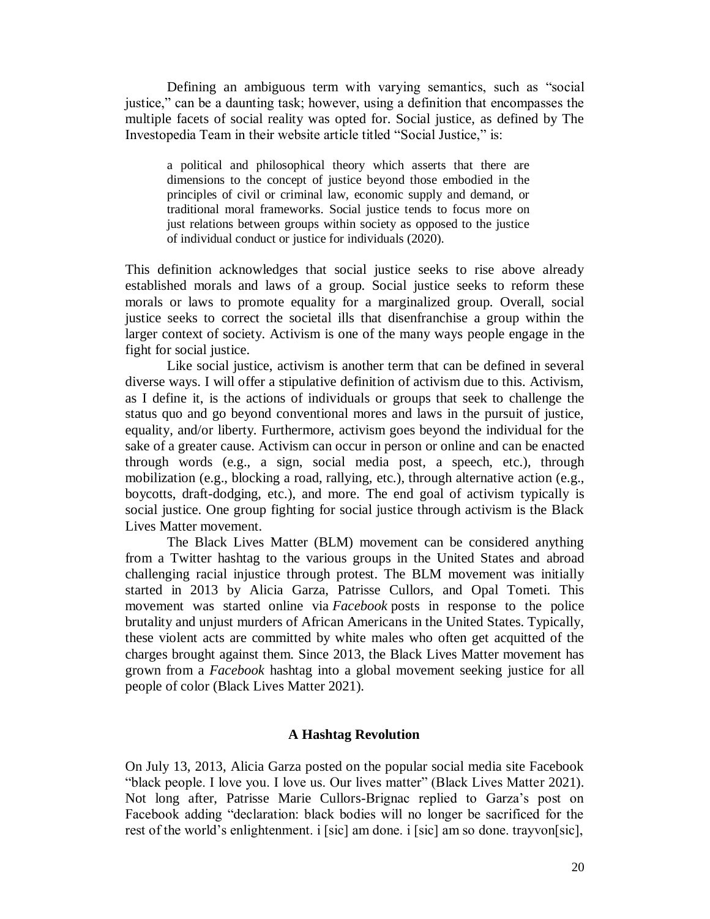Defining an ambiguous term with varying semantics, such as "social justice," can be a daunting task; however, using a definition that encompasses the multiple facets of social reality was opted for. Social justice, as defined by The Investopedia Team in their website article titled "Social Justice," is:

a political and philosophical theory which asserts that there are dimensions to the concept of justice beyond those embodied in the principles of civil or criminal law, economic supply and demand, or traditional moral frameworks. Social justice tends to focus more on just relations between groups within society as opposed to the justice of individual conduct or justice for individuals (2020).

This definition acknowledges that social justice seeks to rise above already established morals and laws of a group. Social justice seeks to reform these morals or laws to promote equality for a marginalized group. Overall, social justice seeks to correct the societal ills that disenfranchise a group within the larger context of society. Activism is one of the many ways people engage in the fight for social justice.

Like social justice, activism is another term that can be defined in several diverse ways. I will offer a stipulative definition of activism due to this. Activism, as I define it, is the actions of individuals or groups that seek to challenge the status quo and go beyond conventional mores and laws in the pursuit of justice, equality, and/or liberty. Furthermore, activism goes beyond the individual for the sake of a greater cause. Activism can occur in person or online and can be enacted through words (e.g., a sign, social media post, a speech, etc.), through mobilization (e.g., blocking a road, rallying, etc.), through alternative action (e.g., boycotts, draft-dodging, etc.), and more. The end goal of activism typically is social justice. One group fighting for social justice through activism is the Black Lives Matter movement.

The Black Lives Matter (BLM) movement can be considered anything from a Twitter hashtag to the various groups in the United States and abroad challenging racial injustice through protest. The BLM movement was initially started in 2013 by Alicia Garza, Patrisse Cullors, and Opal Tometi. This movement was started online via *Facebook* posts in response to the police brutality and unjust murders of African Americans in the United States. Typically, these violent acts are committed by white males who often get acquitted of the charges brought against them. Since 2013, the Black Lives Matter movement has grown from a *Facebook* hashtag into a global movement seeking justice for all people of color (Black Lives Matter 2021).

#### **A Hashtag Revolution**

On July 13, 2013, Alicia Garza posted on the popular social media site Facebook "black people. I love you. I love us. Our lives matter" (Black Lives Matter 2021). Not long after, Patrisse Marie Cullors-Brignac replied to Garza's post on Facebook adding "declaration: black bodies will no longer be sacrificed for the rest of the world's enlightenment. i [sic] am done. i [sic] am so done. trayvon[sic],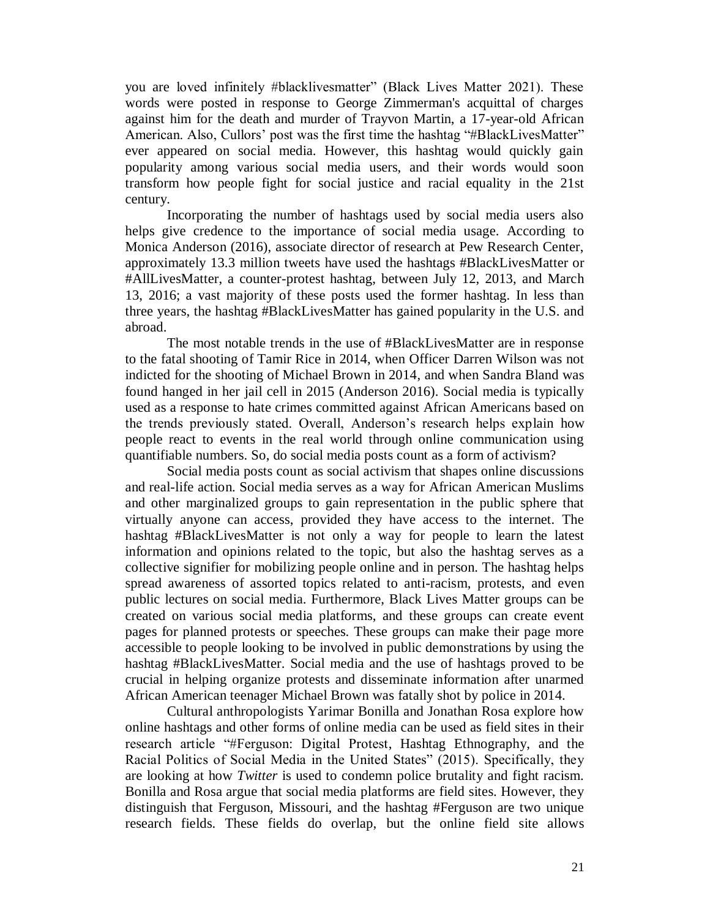you are loved infinitely #blacklivesmatter" (Black Lives Matter 2021). These words were posted in response to George Zimmerman's acquittal of charges against him for the death and murder of Trayvon Martin, a 17-year-old African American. Also, Cullors' post was the first time the hashtag "#BlackLivesMatter" ever appeared on social media. However, this hashtag would quickly gain popularity among various social media users, and their words would soon transform how people fight for social justice and racial equality in the 21st century.

Incorporating the number of hashtags used by social media users also helps give credence to the importance of social media usage. According to Monica Anderson (2016), associate director of research at Pew Research Center, approximately 13.3 million tweets have used the hashtags #BlackLivesMatter or #AllLivesMatter, a counter-protest hashtag, between July 12, 2013, and March 13, 2016; a vast majority of these posts used the former hashtag. In less than three years, the hashtag #BlackLivesMatter has gained popularity in the U.S. and abroad.

The most notable trends in the use of #BlackLivesMatter are in response to the fatal shooting of Tamir Rice in 2014, when Officer Darren Wilson was not indicted for the shooting of Michael Brown in 2014, and when Sandra Bland was found hanged in her jail cell in 2015 (Anderson 2016). Social media is typically used as a response to hate crimes committed against African Americans based on the trends previously stated. Overall, Anderson's research helps explain how people react to events in the real world through online communication using quantifiable numbers. So, do social media posts count as a form of activism?

Social media posts count as social activism that shapes online discussions and real-life action. Social media serves as a way for African American Muslims and other marginalized groups to gain representation in the public sphere that virtually anyone can access, provided they have access to the internet. The hashtag #BlackLivesMatter is not only a way for people to learn the latest information and opinions related to the topic, but also the hashtag serves as a collective signifier for mobilizing people online and in person. The hashtag helps spread awareness of assorted topics related to anti-racism, protests, and even public lectures on social media. Furthermore, Black Lives Matter groups can be created on various social media platforms, and these groups can create event pages for planned protests or speeches. These groups can make their page more accessible to people looking to be involved in public demonstrations by using the hashtag #BlackLivesMatter. Social media and the use of hashtags proved to be crucial in helping organize protests and disseminate information after unarmed African American teenager Michael Brown was fatally shot by police in 2014.

Cultural anthropologists Yarimar Bonilla and Jonathan Rosa explore how online hashtags and other forms of online media can be used as field sites in their research article "#Ferguson: Digital Protest, Hashtag Ethnography, and the Racial Politics of Social Media in the United States" (2015). Specifically, they are looking at how *Twitter* is used to condemn police brutality and fight racism. Bonilla and Rosa argue that social media platforms are field sites. However, they distinguish that Ferguson, Missouri, and the hashtag #Ferguson are two unique research fields. These fields do overlap, but the online field site allows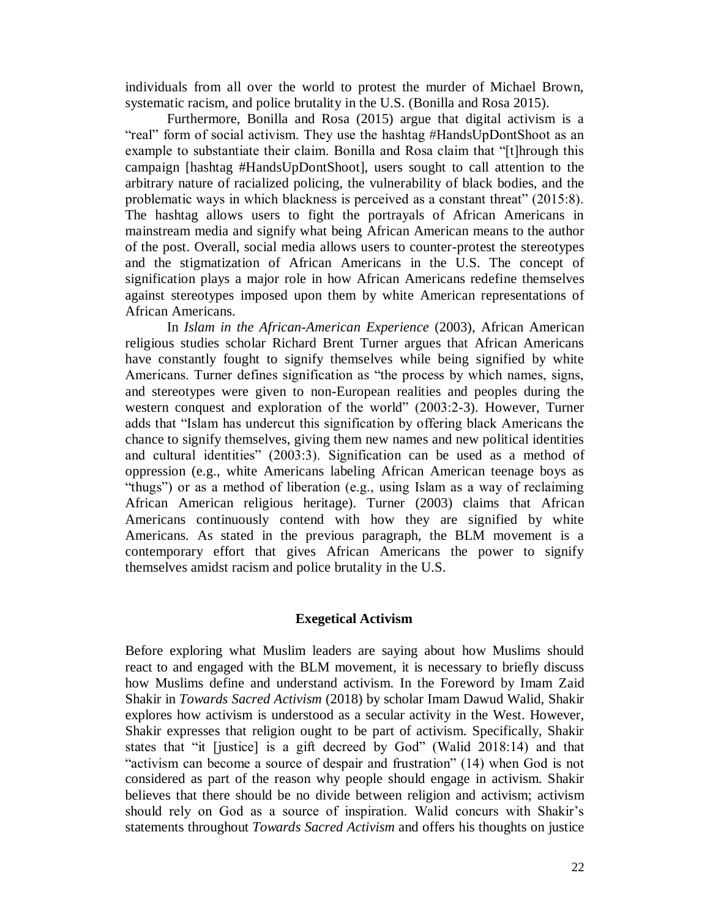individuals from all over the world to protest the murder of Michael Brown, systematic racism, and police brutality in the U.S. (Bonilla and Rosa 2015).

Furthermore, Bonilla and Rosa (2015) argue that digital activism is a "real" form of social activism. They use the hashtag #HandsUpDontShoot as an example to substantiate their claim. Bonilla and Rosa claim that "[t]hrough this campaign [hashtag #HandsUpDontShoot], users sought to call attention to the arbitrary nature of racialized policing, the vulnerability of black bodies, and the problematic ways in which blackness is perceived as a constant threat" (2015:8). The hashtag allows users to fight the portrayals of African Americans in mainstream media and signify what being African American means to the author of the post. Overall, social media allows users to counter-protest the stereotypes and the stigmatization of African Americans in the U.S. The concept of signification plays a major role in how African Americans redefine themselves against stereotypes imposed upon them by white American representations of African Americans.

In *Islam in the African-American Experience* (2003), African American religious studies scholar Richard Brent Turner argues that African Americans have constantly fought to signify themselves while being signified by white Americans. Turner defines signification as "the process by which names, signs, and stereotypes were given to non-European realities and peoples during the western conquest and exploration of the world" (2003:2-3). However, Turner adds that "Islam has undercut this signification by offering black Americans the chance to signify themselves, giving them new names and new political identities and cultural identities" (2003:3). Signification can be used as a method of oppression (e.g., white Americans labeling African American teenage boys as "thugs") or as a method of liberation (e.g., using Islam as a way of reclaiming African American religious heritage). Turner (2003) claims that African Americans continuously contend with how they are signified by white Americans. As stated in the previous paragraph, the BLM movement is a contemporary effort that gives African Americans the power to signify themselves amidst racism and police brutality in the U.S.

#### **Exegetical Activism**

Before exploring what Muslim leaders are saying about how Muslims should react to and engaged with the BLM movement, it is necessary to briefly discuss how Muslims define and understand activism. In the Foreword by Imam Zaid Shakir in *Towards Sacred Activism* (2018) by scholar Imam Dawud Walid, Shakir explores how activism is understood as a secular activity in the West. However, Shakir expresses that religion ought to be part of activism. Specifically, Shakir states that "it [justice] is a gift decreed by God" (Walid 2018:14) and that "activism can become a source of despair and frustration" (14) when God is not considered as part of the reason why people should engage in activism. Shakir believes that there should be no divide between religion and activism; activism should rely on God as a source of inspiration. Walid concurs with Shakir's statements throughout *Towards Sacred Activism* and offers his thoughts on justice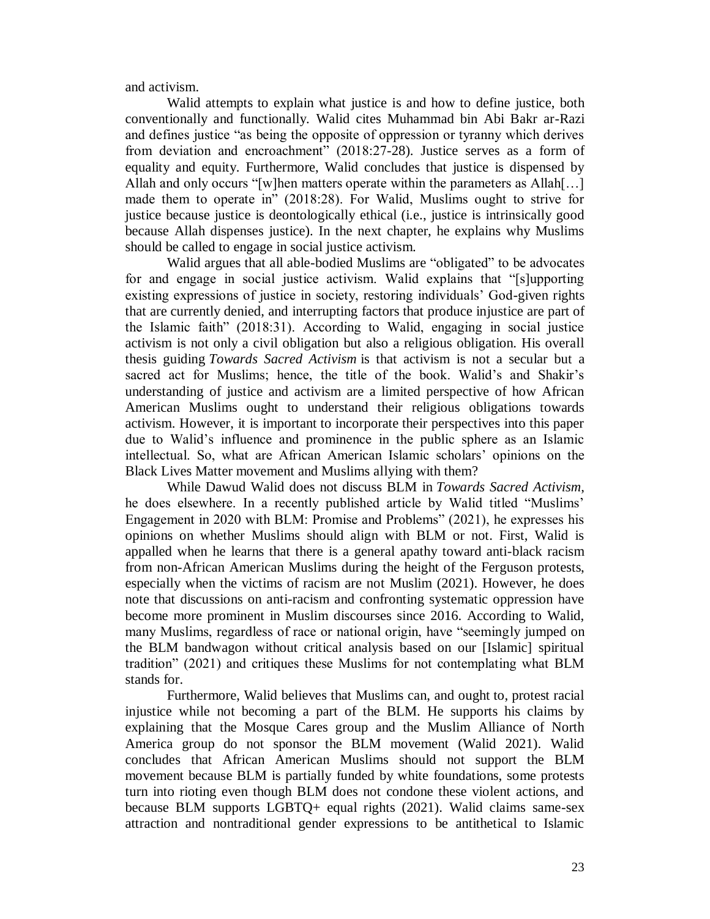and activism.

Walid attempts to explain what justice is and how to define justice, both conventionally and functionally. Walid cites Muhammad bin Abi Bakr ar-Razi and defines justice "as being the opposite of oppression or tyranny which derives from deviation and encroachment" (2018:27-28). Justice serves as a form of equality and equity. Furthermore, Walid concludes that justice is dispensed by Allah and only occurs "[w]hen matters operate within the parameters as Allah[...] made them to operate in" (2018:28). For Walid, Muslims ought to strive for justice because justice is deontologically ethical (i.e., justice is intrinsically good because Allah dispenses justice). In the next chapter, he explains why Muslims should be called to engage in social justice activism.

Walid argues that all able-bodied Muslims are "obligated" to be advocates for and engage in social justice activism. Walid explains that "[s]upporting existing expressions of justice in society, restoring individuals' God-given rights that are currently denied, and interrupting factors that produce injustice are part of the Islamic faith" (2018:31). According to Walid, engaging in social justice activism is not only a civil obligation but also a religious obligation. His overall thesis guiding *Towards Sacred Activism* is that activism is not a secular but a sacred act for Muslims; hence, the title of the book. Walid's and Shakir's understanding of justice and activism are a limited perspective of how African American Muslims ought to understand their religious obligations towards activism. However, it is important to incorporate their perspectives into this paper due to Walid's influence and prominence in the public sphere as an Islamic intellectual. So, what are African American Islamic scholars' opinions on the Black Lives Matter movement and Muslims allying with them?

While Dawud Walid does not discuss BLM in *Towards Sacred Activism*, he does elsewhere. In a recently published article by Walid titled "Muslims' Engagement in 2020 with BLM: Promise and Problems" (2021), he expresses his opinions on whether Muslims should align with BLM or not. First, Walid is appalled when he learns that there is a general apathy toward anti-black racism from non-African American Muslims during the height of the Ferguson protests, especially when the victims of racism are not Muslim (2021). However, he does note that discussions on anti-racism and confronting systematic oppression have become more prominent in Muslim discourses since 2016. According to Walid, many Muslims, regardless of race or national origin, have "seemingly jumped on the BLM bandwagon without critical analysis based on our [Islamic] spiritual tradition" (2021) and critiques these Muslims for not contemplating what BLM stands for.

Furthermore, Walid believes that Muslims can, and ought to, protest racial injustice while not becoming a part of the BLM. He supports his claims by explaining that the Mosque Cares group and the Muslim Alliance of North America group do not sponsor the BLM movement (Walid 2021). Walid concludes that African American Muslims should not support the BLM movement because BLM is partially funded by white foundations, some protests turn into rioting even though BLM does not condone these violent actions, and because BLM supports LGBTQ+ equal rights (2021). Walid claims same-sex attraction and nontraditional gender expressions to be antithetical to Islamic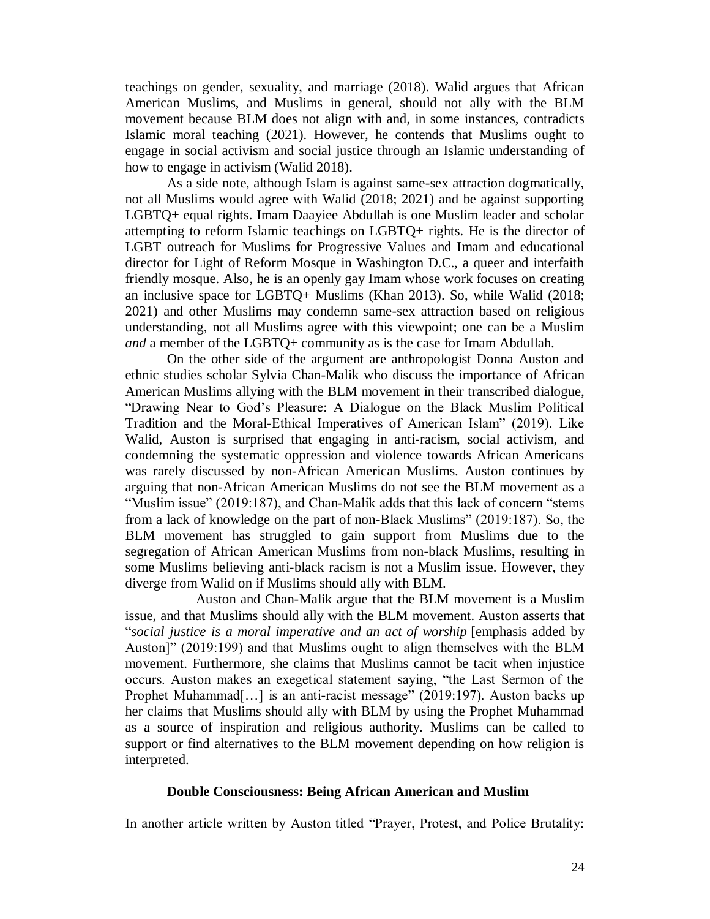teachings on gender, sexuality, and marriage (2018). Walid argues that African American Muslims, and Muslims in general, should not ally with the BLM movement because BLM does not align with and, in some instances, contradicts Islamic moral teaching (2021). However, he contends that Muslims ought to engage in social activism and social justice through an Islamic understanding of how to engage in activism (Walid 2018).

As a side note, although Islam is against same-sex attraction dogmatically, not all Muslims would agree with Walid (2018; 2021) and be against supporting LGBTQ+ equal rights. Imam Daayiee Abdullah is one Muslim leader and scholar attempting to reform Islamic teachings on LGBTQ+ rights. He is the director of LGBT outreach for Muslims for Progressive Values and Imam and educational director for Light of Reform Mosque in Washington D.C., a queer and interfaith friendly mosque. Also, he is an openly gay Imam whose work focuses on creating an inclusive space for LGBTQ+ Muslims (Khan 2013). So, while Walid (2018; 2021) and other Muslims may condemn same-sex attraction based on religious understanding, not all Muslims agree with this viewpoint; one can be a Muslim *and* a member of the LGBTQ+ community as is the case for Imam Abdullah.

On the other side of the argument are anthropologist Donna Auston and ethnic studies scholar Sylvia Chan-Malik who discuss the importance of African American Muslims allying with the BLM movement in their transcribed dialogue, "Drawing Near to God's Pleasure: A Dialogue on the Black Muslim Political Tradition and the Moral-Ethical Imperatives of American Islam" (2019). Like Walid, Auston is surprised that engaging in anti-racism, social activism, and condemning the systematic oppression and violence towards African Americans was rarely discussed by non-African American Muslims. Auston continues by arguing that non-African American Muslims do not see the BLM movement as a "Muslim issue" (2019:187), and Chan-Malik adds that this lack of concern "stems from a lack of knowledge on the part of non-Black Muslims" (2019:187). So, the BLM movement has struggled to gain support from Muslims due to the segregation of African American Muslims from non-black Muslims, resulting in some Muslims believing anti-black racism is not a Muslim issue. However, they diverge from Walid on if Muslims should ally with BLM.

Auston and Chan-Malik argue that the BLM movement is a Muslim issue, and that Muslims should ally with the BLM movement. Auston asserts that "*social justice is a moral imperative and an act of worship* [emphasis added by Auston]" (2019:199) and that Muslims ought to align themselves with the BLM movement. Furthermore, she claims that Muslims cannot be tacit when injustice occurs. Auston makes an exegetical statement saying, "the Last Sermon of the Prophet Muhammad[...] is an anti-racist message" (2019:197). Auston backs up her claims that Muslims should ally with BLM by using the Prophet Muhammad as a source of inspiration and religious authority. Muslims can be called to support or find alternatives to the BLM movement depending on how religion is interpreted.

#### **Double Consciousness: Being African American and Muslim**

In another article written by Auston titled "Prayer, Protest, and Police Brutality: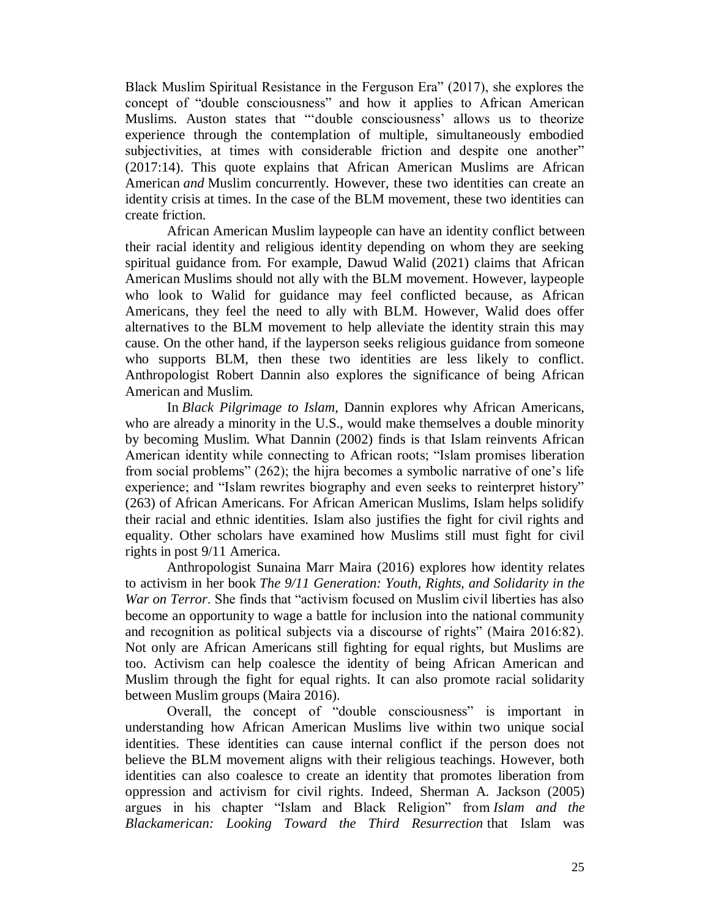Black Muslim Spiritual Resistance in the Ferguson Era" (2017), she explores the concept of "double consciousness" and how it applies to African American Muslims. Auston states that "'double consciousness' allows us to theorize experience through the contemplation of multiple, simultaneously embodied subjectivities, at times with considerable friction and despite one another" (2017:14). This quote explains that African American Muslims are African American *and* Muslim concurrently. However, these two identities can create an identity crisis at times. In the case of the BLM movement, these two identities can create friction.

African American Muslim laypeople can have an identity conflict between their racial identity and religious identity depending on whom they are seeking spiritual guidance from. For example, Dawud Walid (2021) claims that African American Muslims should not ally with the BLM movement. However, laypeople who look to Walid for guidance may feel conflicted because, as African Americans, they feel the need to ally with BLM. However, Walid does offer alternatives to the BLM movement to help alleviate the identity strain this may cause. On the other hand, if the layperson seeks religious guidance from someone who supports BLM, then these two identities are less likely to conflict. Anthropologist Robert Dannin also explores the significance of being African American and Muslim.

In *Black Pilgrimage to Islam*, Dannin explores why African Americans, who are already a minority in the U.S., would make themselves a double minority by becoming Muslim. What Dannin (2002) finds is that Islam reinvents African American identity while connecting to African roots; "Islam promises liberation from social problems" (262); the hijra becomes a symbolic narrative of one's life experience; and "Islam rewrites biography and even seeks to reinterpret history" (263) of African Americans. For African American Muslims, Islam helps solidify their racial and ethnic identities. Islam also justifies the fight for civil rights and equality. Other scholars have examined how Muslims still must fight for civil rights in post 9/11 America.

Anthropologist Sunaina Marr Maira (2016) explores how identity relates to activism in her book *The 9/11 Generation: Youth, Rights, and Solidarity in the War on Terror*. She finds that "activism focused on Muslim civil liberties has also become an opportunity to wage a battle for inclusion into the national community and recognition as political subjects via a discourse of rights" (Maira 2016:82). Not only are African Americans still fighting for equal rights, but Muslims are too. Activism can help coalesce the identity of being African American and Muslim through the fight for equal rights. It can also promote racial solidarity between Muslim groups (Maira 2016).

Overall, the concept of "double consciousness" is important in understanding how African American Muslims live within two unique social identities. These identities can cause internal conflict if the person does not believe the BLM movement aligns with their religious teachings. However, both identities can also coalesce to create an identity that promotes liberation from oppression and activism for civil rights. Indeed, Sherman A. Jackson (2005) argues in his chapter "Islam and Black Religion" from *Islam and the Blackamerican: Looking Toward the Third Resurrection* that Islam was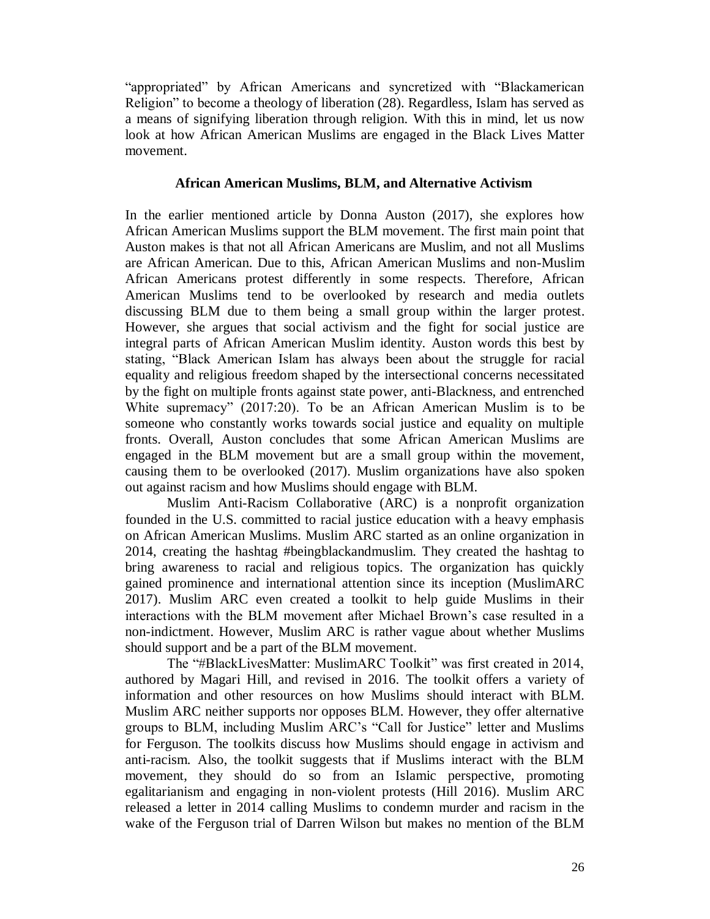"appropriated" by African Americans and syncretized with "Blackamerican Religion" to become a theology of liberation (28). Regardless, Islam has served as a means of signifying liberation through religion. With this in mind, let us now look at how African American Muslims are engaged in the Black Lives Matter movement.

#### **African American Muslims, BLM, and Alternative Activism**

In the earlier mentioned article by Donna Auston (2017), she explores how African American Muslims support the BLM movement. The first main point that Auston makes is that not all African Americans are Muslim, and not all Muslims are African American. Due to this, African American Muslims and non-Muslim African Americans protest differently in some respects. Therefore, African American Muslims tend to be overlooked by research and media outlets discussing BLM due to them being a small group within the larger protest. However, she argues that social activism and the fight for social justice are integral parts of African American Muslim identity. Auston words this best by stating, "Black American Islam has always been about the struggle for racial equality and religious freedom shaped by the intersectional concerns necessitated by the fight on multiple fronts against state power, anti-Blackness, and entrenched White supremacy" (2017:20). To be an African American Muslim is to be someone who constantly works towards social justice and equality on multiple fronts. Overall, Auston concludes that some African American Muslims are engaged in the BLM movement but are a small group within the movement, causing them to be overlooked (2017). Muslim organizations have also spoken out against racism and how Muslims should engage with BLM.

Muslim Anti-Racism Collaborative (ARC) is a nonprofit organization founded in the U.S. committed to racial justice education with a heavy emphasis on African American Muslims. Muslim ARC started as an online organization in 2014, creating the hashtag #beingblackandmuslim. They created the hashtag to bring awareness to racial and religious topics. The organization has quickly gained prominence and international attention since its inception (MuslimARC 2017). Muslim ARC even created a toolkit to help guide Muslims in their interactions with the BLM movement after Michael Brown's case resulted in a non-indictment. However, Muslim ARC is rather vague about whether Muslims should support and be a part of the BLM movement.

The "#BlackLivesMatter: MuslimARC Toolkit" was first created in 2014, authored by Magari Hill, and revised in 2016. The toolkit offers a variety of information and other resources on how Muslims should interact with BLM. Muslim ARC neither supports nor opposes BLM. However, they offer alternative groups to BLM, including Muslim ARC's "Call for Justice" letter and Muslims for Ferguson. The toolkits discuss how Muslims should engage in activism and anti-racism. Also, the toolkit suggests that if Muslims interact with the BLM movement, they should do so from an Islamic perspective, promoting egalitarianism and engaging in non-violent protests (Hill 2016). Muslim ARC released a letter in 2014 calling Muslims to condemn murder and racism in the wake of the Ferguson trial of Darren Wilson but makes no mention of the BLM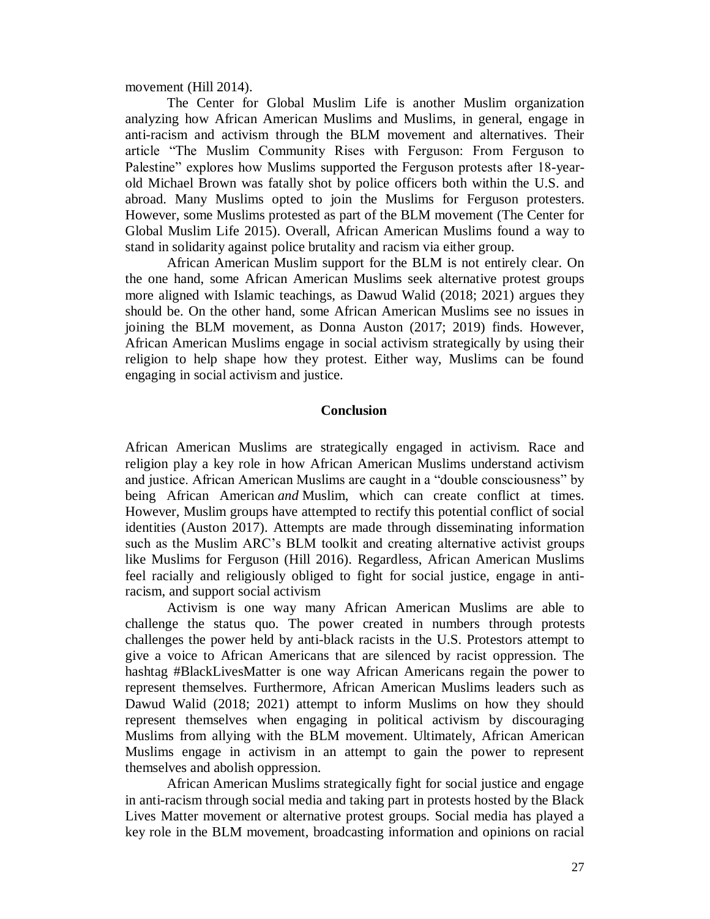movement (Hill 2014).

The Center for Global Muslim Life is another Muslim organization analyzing how African American Muslims and Muslims, in general, engage in anti-racism and activism through the BLM movement and alternatives. Their article "The Muslim Community Rises with Ferguson: From Ferguson to Palestine" explores how Muslims supported the Ferguson protests after 18-yearold Michael Brown was fatally shot by police officers both within the U.S. and abroad. Many Muslims opted to join the Muslims for Ferguson protesters. However, some Muslims protested as part of the BLM movement (The Center for Global Muslim Life 2015). Overall, African American Muslims found a way to stand in solidarity against police brutality and racism via either group.

African American Muslim support for the BLM is not entirely clear. On the one hand, some African American Muslims seek alternative protest groups more aligned with Islamic teachings, as Dawud Walid (2018; 2021) argues they should be. On the other hand, some African American Muslims see no issues in joining the BLM movement, as Donna Auston (2017; 2019) finds. However, African American Muslims engage in social activism strategically by using their religion to help shape how they protest. Either way, Muslims can be found engaging in social activism and justice.

#### **Conclusion**

African American Muslims are strategically engaged in activism. Race and religion play a key role in how African American Muslims understand activism and justice. African American Muslims are caught in a "double consciousness" by being African American *and* Muslim, which can create conflict at times. However, Muslim groups have attempted to rectify this potential conflict of social identities (Auston 2017). Attempts are made through disseminating information such as the Muslim ARC's BLM toolkit and creating alternative activist groups like Muslims for Ferguson (Hill 2016). Regardless, African American Muslims feel racially and religiously obliged to fight for social justice, engage in antiracism, and support social activism

Activism is one way many African American Muslims are able to challenge the status quo. The power created in numbers through protests challenges the power held by anti-black racists in the U.S. Protestors attempt to give a voice to African Americans that are silenced by racist oppression. The hashtag #BlackLivesMatter is one way African Americans regain the power to represent themselves. Furthermore, African American Muslims leaders such as Dawud Walid (2018; 2021) attempt to inform Muslims on how they should represent themselves when engaging in political activism by discouraging Muslims from allying with the BLM movement. Ultimately, African American Muslims engage in activism in an attempt to gain the power to represent themselves and abolish oppression.

African American Muslims strategically fight for social justice and engage in anti-racism through social media and taking part in protests hosted by the Black Lives Matter movement or alternative protest groups. Social media has played a key role in the BLM movement, broadcasting information and opinions on racial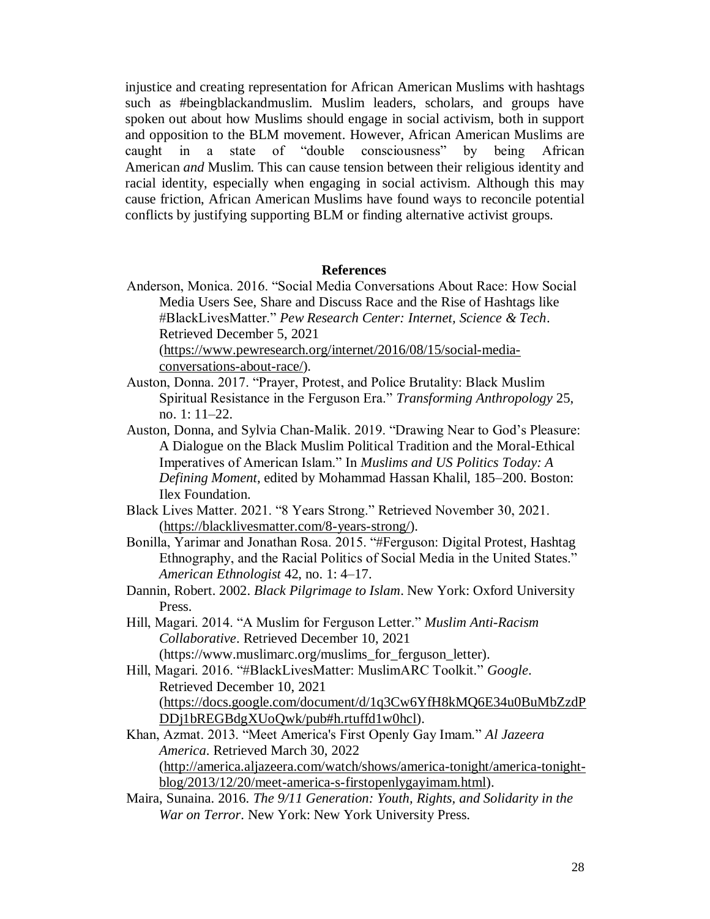injustice and creating representation for African American Muslims with hashtags such as #beingblackandmuslim. Muslim leaders, scholars, and groups have spoken out about how Muslims should engage in social activism, both in support and opposition to the BLM movement. However, African American Muslims are caught in a state of "double consciousness" by being African American *and* Muslim. This can cause tension between their religious identity and racial identity, especially when engaging in social activism. Although this may cause friction, African American Muslims have found ways to reconcile potential conflicts by justifying supporting BLM or finding alternative activist groups.

#### **References**

Anderson, Monica. 2016. "Social Media Conversations About Race: How Social Media Users See, Share and Discuss Race and the Rise of Hashtags like #BlackLivesMatter." *Pew Research Center: Internet, Science & Tech*. Retrieved December 5, 2021 [\(https://www.pewresearch.org/internet/2016/08/15/social-media-](https://www.pewresearch.org/internet/2016/08/15/social-media-conversations-about-race/)

[conversations-about-race/\)](https://www.pewresearch.org/internet/2016/08/15/social-media-conversations-about-race/).

- Auston, Donna. 2017. "Prayer, Protest, and Police Brutality: Black Muslim Spiritual Resistance in the Ferguson Era." *Transforming Anthropology* 25, no. 1: 11–22.
- Auston, Donna, and Sylvia Chan-Malik. 2019. "Drawing Near to God's Pleasure: A Dialogue on the Black Muslim Political Tradition and the Moral-Ethical Imperatives of American Islam." In *Muslims and US Politics Today: A Defining Moment*, edited by Mohammad Hassan Khalil, 185–200. Boston: Ilex Foundation.
- Black Lives Matter. 2021. "8 Years Strong." Retrieved November 30, 2021. [\(https://blacklivesmatter.com/8-years-strong/\)](https://blacklivesmatter.com/8-years-strong/).
- Bonilla, Yarimar and Jonathan Rosa. 2015. "#Ferguson: Digital Protest, Hashtag Ethnography, and the Racial Politics of Social Media in the United States." *American Ethnologist* 42, no. 1: 4–17.
- Dannin, Robert. 2002. *Black Pilgrimage to Islam*. New York: Oxford University Press.
- Hill, Magari. 2014. "A Muslim for Ferguson Letter." *Muslim Anti-Racism Collaborative*. Retrieved December 10, 2021 (https://www.muslimarc.org/muslims\_for\_ferguson\_letter).
- Hill, Magari. 2016. "#BlackLivesMatter: MuslimARC Toolkit." *Google*. Retrieved December 10, 2021 [\(https://docs.google.com/document/d/1q3Cw6YfH8kMQ6E34u0BuMbZzdP](https://docs.google.com/document/d/1q3Cw6YfH8kMQ6E34u0BuMbZzdPDDj1bREGBdgXUoQwk/pub#h.rtuffd1w0hcl) [DDj1bREGBdgXUoQwk/pub#h.rtuffd1w0hcl\)](https://docs.google.com/document/d/1q3Cw6YfH8kMQ6E34u0BuMbZzdPDDj1bREGBdgXUoQwk/pub#h.rtuffd1w0hcl).
- Khan, Azmat. 2013. "Meet America's First Openly Gay Imam." *Al Jazeera America*. Retrieved March 30, 2022 [\(http://america.aljazeera.com/watch/shows/america-tonight/america-tonight](http://america.aljazeera.com/watch/shows/america-tonight/america-tonight-blog/2013/12/20/meet-america-s-firstopenlygayimam.html)[blog/2013/12/20/meet-america-s-firstopenlygayimam.html\)](http://america.aljazeera.com/watch/shows/america-tonight/america-tonight-blog/2013/12/20/meet-america-s-firstopenlygayimam.html).
- Maira, Sunaina. 2016. *The 9/11 Generation: Youth, Rights, and Solidarity in the War on Terror*. New York: New York University Press.